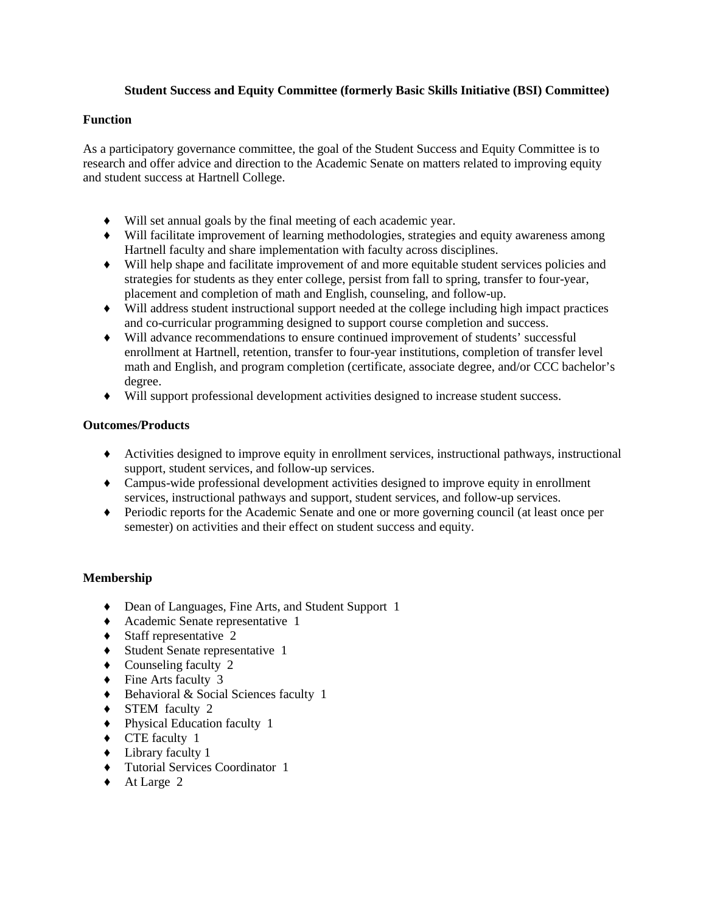# **Student Success and Equity Committee (formerly Basic Skills Initiative (BSI) Committee)**

## **Function**

As a participatory governance committee, the goal of the Student Success and Equity Committee is to research and offer advice and direction to the Academic Senate on matters related to improving equity and student success at Hartnell College.

- ♦ Will set annual goals by the final meeting of each academic year.
- ♦ Will facilitate improvement of learning methodologies, strategies and equity awareness among Hartnell faculty and share implementation with faculty across disciplines.
- ♦ Will help shape and facilitate improvement of and more equitable student services policies and strategies for students as they enter college, persist from fall to spring, transfer to four-year, placement and completion of math and English, counseling, and follow-up.
- ♦ Will address student instructional support needed at the college including high impact practices and co-curricular programming designed to support course completion and success.
- ♦ Will advance recommendations to ensure continued improvement of students' successful enrollment at Hartnell, retention, transfer to four-year institutions, completion of transfer level math and English, and program completion (certificate, associate degree, and/or CCC bachelor's degree.
- ♦ Will support professional development activities designed to increase student success.

# **Outcomes/Products**

- ♦ Activities designed to improve equity in enrollment services, instructional pathways, instructional support, student services, and follow-up services.
- ♦ Campus-wide professional development activities designed to improve equity in enrollment services, instructional pathways and support, student services, and follow-up services.
- ♦ Periodic reports for the Academic Senate and one or more governing council (at least once per semester) on activities and their effect on student success and equity.

# **Membership**

- ♦ Dean of Languages, Fine Arts, and Student Support 1
- ♦ Academic Senate representative 1
- $\triangleleft$  Staff representative 2
- ♦ Student Senate representative 1
- ♦ Counseling faculty 2
- ♦ Fine Arts faculty 3
- ♦ Behavioral & Social Sciences faculty 1
- ♦ STEM faculty 2
- ♦ Physical Education faculty 1
- ♦ CTE faculty 1
- ♦ Library faculty 1
- ♦ Tutorial Services Coordinator 1
- ♦ At Large 2